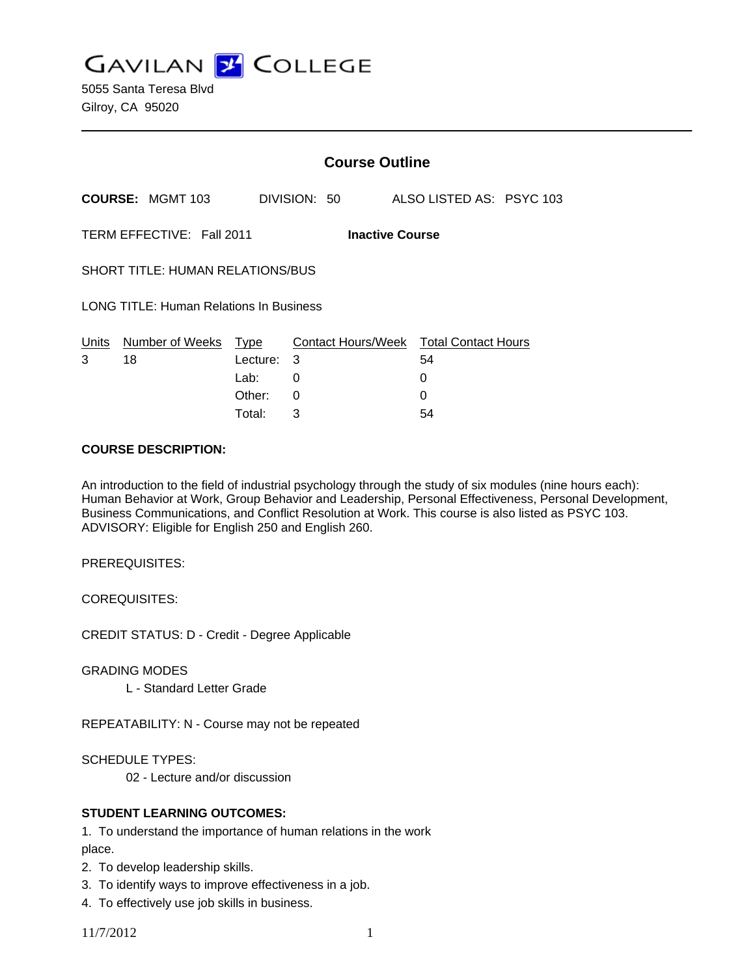**GAVILAN J COLLEGE** 

|                                                     |                         |                  | <b>Course Outline</b> |                    |  |                           |  |
|-----------------------------------------------------|-------------------------|------------------|-----------------------|--------------------|--|---------------------------|--|
|                                                     | <b>COURSE: MGMT 103</b> |                  |                       | DIVISION: 50       |  | ALSO LISTED AS: PSYC 103  |  |
| TERM EFFECTIVE: Fall 2011<br><b>Inactive Course</b> |                         |                  |                       |                    |  |                           |  |
| <b>SHORT TITLE: HUMAN RELATIONS/BUS</b>             |                         |                  |                       |                    |  |                           |  |
| LONG TITLE: Human Relations In Business             |                         |                  |                       |                    |  |                           |  |
| Units<br>3                                          | Number of Weeks<br>18   | Type<br>Lecture: | 3                     | Contact Hours/Week |  | Total Contact Hours<br>54 |  |
|                                                     |                         | Lab:             | 0                     |                    |  | 0                         |  |
|                                                     |                         | Other:           | 0                     |                    |  | O                         |  |

Total: 3 54

#### **COURSE DESCRIPTION:**

An introduction to the field of industrial psychology through the study of six modules (nine hours each): Human Behavior at Work, Group Behavior and Leadership, Personal Effectiveness, Personal Development, Business Communications, and Conflict Resolution at Work. This course is also listed as PSYC 103. ADVISORY: Eligible for English 250 and English 260.

PREREQUISITES:

COREQUISITES:

CREDIT STATUS: D - Credit - Degree Applicable

GRADING MODES

L - Standard Letter Grade

REPEATABILITY: N - Course may not be repeated

SCHEDULE TYPES:

02 - Lecture and/or discussion

## **STUDENT LEARNING OUTCOMES:**

1. To understand the importance of human relations in the work place.

- 2. To develop leadership skills.
- 3. To identify ways to improve effectiveness in a job.
- 4. To effectively use job skills in business.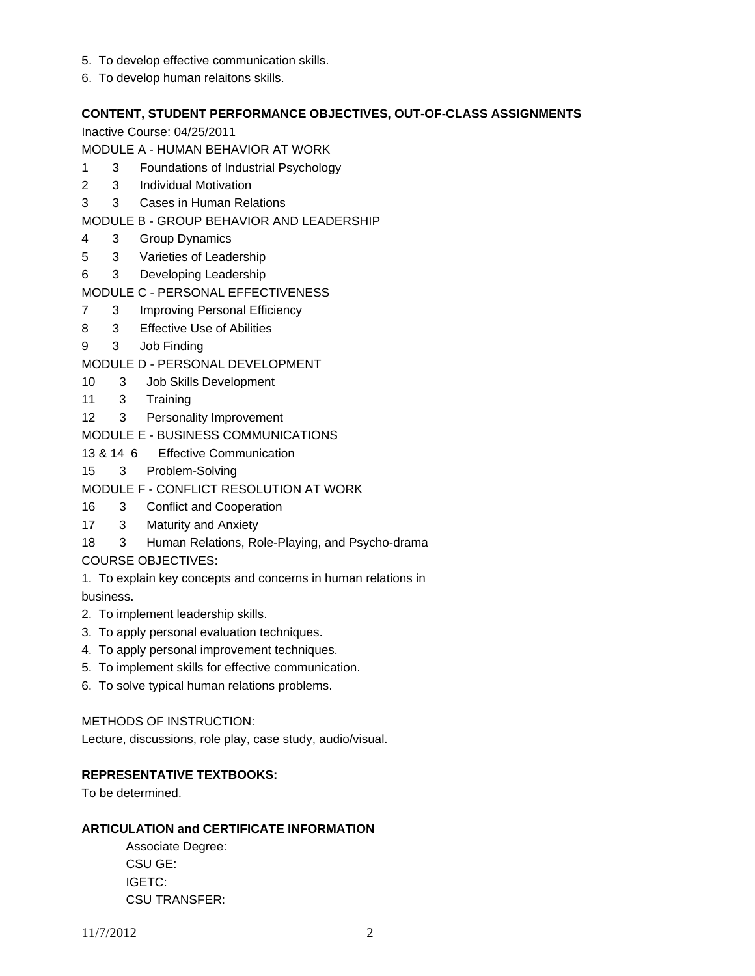- 5. To develop effective communication skills.
- 6. To develop human relaitons skills.

# **CONTENT, STUDENT PERFORMANCE OBJECTIVES, OUT-OF-CLASS ASSIGNMENTS**

Inactive Course: 04/25/2011

MODULE A - HUMAN BEHAVIOR AT WORK

- 1 3 Foundations of Industrial Psychology
- 2 3 Individual Motivation
- 3 3 Cases in Human Relations
- MODULE B GROUP BEHAVIOR AND LEADERSHIP
- 4 3 Group Dynamics
- 5 3 Varieties of Leadership
- 6 3 Developing Leadership
- MODULE C PERSONAL EFFECTIVENESS
- 7 3 Improving Personal Efficiency
- 8 3 Effective Use of Abilities
- 9 3 Job Finding
- MODULE D PERSONAL DEVELOPMENT
- 10 3 Job Skills Development
- 11 3 Training
- 12 3 Personality Improvement
- MODULE E BUSINESS COMMUNICATIONS
- 13 & 14 6 Effective Communication
- 15 3 Problem-Solving
- MODULE F CONFLICT RESOLUTION AT WORK
- 16 3 Conflict and Cooperation
- 17 3 Maturity and Anxiety
- 18 3 Human Relations, Role-Playing, and Psycho-drama
- COURSE OBJECTIVES:
- 1. To explain key concepts and concerns in human relations in business.
- 2. To implement leadership skills.
- 3. To apply personal evaluation techniques.
- 4. To apply personal improvement techniques.
- 5. To implement skills for effective communication.
- 6. To solve typical human relations problems.

## METHODS OF INSTRUCTION:

Lecture, discussions, role play, case study, audio/visual.

## **REPRESENTATIVE TEXTBOOKS:**

To be determined.

## **ARTICULATION and CERTIFICATE INFORMATION**

 Associate Degree: CSU GE: IGETC: CSU TRANSFER: